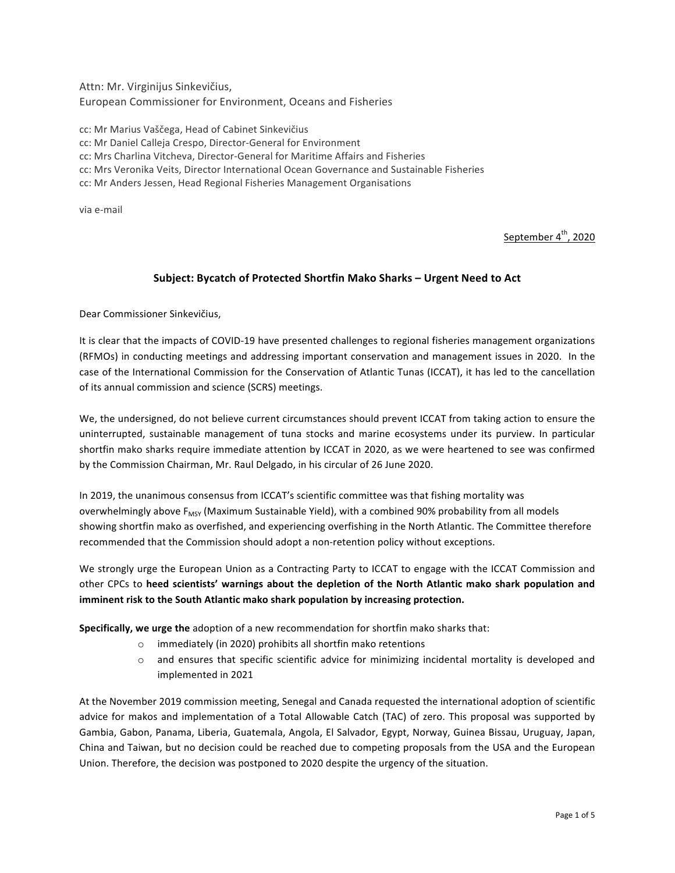Attn: Mr. Virginijus Sinkevičius, European Commissioner for Environment, Oceans and Fisheries

cc: Mr Marius Vaščega, Head of Cabinet Sinkevičius

cc: Mr Daniel Calleja Crespo, Director-General for Environment

cc: Mrs Charlina Vitcheva, Director-General for Maritime Affairs and Fisheries

cc: Mrs Veronika Veits, Director International Ocean Governance and Sustainable Fisheries

cc: Mr Anders Jessen, Head Regional Fisheries Management Organisations

via e-mail

September 4<sup>th</sup>, 2020

### Subject: Bycatch of Protected Shortfin Mako Sharks - Urgent Need to Act

Dear Commissioner Sinkevičius,

It is clear that the impacts of COVID-19 have presented challenges to regional fisheries management organizations (RFMOs) in conducting meetings and addressing important conservation and management issues in 2020. In the case of the International Commission for the Conservation of Atlantic Tunas (ICCAT), it has led to the cancellation of its annual commission and science (SCRS) meetings.

We, the undersigned, do not believe current circumstances should prevent ICCAT from taking action to ensure the uninterrupted, sustainable management of tuna stocks and marine ecosystems under its purview. In particular shortfin mako sharks require immediate attention by ICCAT in 2020, as we were heartened to see was confirmed by the Commission Chairman, Mr. Raul Delgado, in his circular of 26 June 2020.

In 2019, the unanimous consensus from ICCAT's scientific committee was that fishing mortality was overwhelmingly above  $F_{MSY}$  (Maximum Sustainable Yield), with a combined 90% probability from all models showing shortfin mako as overfished, and experiencing overfishing in the North Atlantic. The Committee therefore recommended that the Commission should adopt a non-retention policy without exceptions.

We strongly urge the European Union as a Contracting Party to ICCAT to engage with the ICCAT Commission and other CPCs to heed scientists' warnings about the depletion of the North Atlantic mako shark population and imminent risk to the South Atlantic mako shark population by increasing protection.

**Specifically, we urge the** adoption of a new recommendation for shortfin mako sharks that:

- $\circ$  immediately (in 2020) prohibits all shortfin mako retentions
- $\circ$  and ensures that specific scientific advice for minimizing incidental mortality is developed and implemented in 2021

At the November 2019 commission meeting, Senegal and Canada requested the international adoption of scientific advice for makos and implementation of a Total Allowable Catch (TAC) of zero. This proposal was supported by Gambia, Gabon, Panama, Liberia, Guatemala, Angola, El Salvador, Egypt, Norway, Guinea Bissau, Uruguay, Japan, China and Taiwan, but no decision could be reached due to competing proposals from the USA and the European Union. Therefore, the decision was postponed to 2020 despite the urgency of the situation.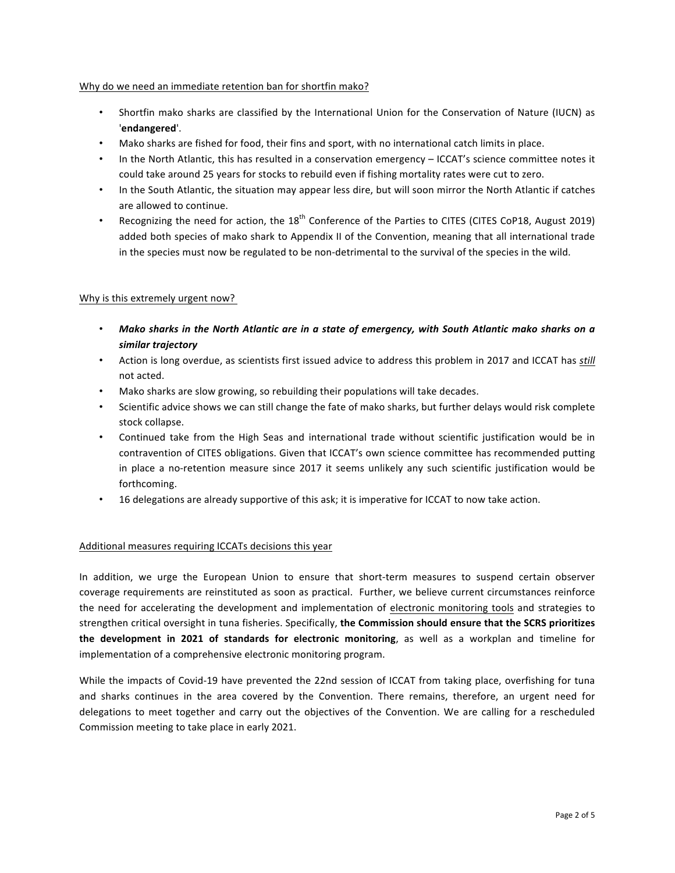#### Why do we need an immediate retention ban for shortfin mako?

- Shortfin mako sharks are classified by the International Union for the Conservation of Nature (IUCN) as '**endangered**'.
- Mako sharks are fished for food, their fins and sport, with no international catch limits in place.
- In the North Atlantic, this has resulted in a conservation emergency ICCAT's science committee notes it could take around 25 years for stocks to rebuild even if fishing mortality rates were cut to zero.
- In the South Atlantic, the situation may appear less dire, but will soon mirror the North Atlantic if catches are allowed to continue.
- Recognizing the need for action, the  $18<sup>th</sup>$  Conference of the Parties to CITES (CITES CoP18, August 2019) added both species of mako shark to Appendix II of the Convention, meaning that all international trade in the species must now be regulated to be non-detrimental to the survival of the species in the wild.

#### Why is this extremely urgent now?

- Mako sharks in the North Atlantic are in a state of emergency, with South Atlantic mako sharks on a *similar trajectory*
- Action is long overdue, as scientists first issued advice to address this problem in 2017 and ICCAT has *still* not acted.
- Mako sharks are slow growing, so rebuilding their populations will take decades.
- Scientific advice shows we can still change the fate of mako sharks, but further delays would risk complete stock collapse.
- Continued take from the High Seas and international trade without scientific justification would be in contravention of CITES obligations. Given that ICCAT's own science committee has recommended putting in place a no-retention measure since 2017 it seems unlikely any such scientific justification would be forthcoming.
- 16 delegations are already supportive of this ask; it is imperative for ICCAT to now take action.

#### Additional measures requiring ICCATs decisions this year

In addition, we urge the European Union to ensure that short-term measures to suspend certain observer coverage requirements are reinstituted as soon as practical. Further, we believe current circumstances reinforce the need for accelerating the development and implementation of electronic monitoring tools and strategies to strengthen critical oversight in tuna fisheries. Specifically, the Commission should ensure that the SCRS prioritizes **the development in 2021 of standards for electronic monitoring**, as well as a workplan and timeline for implementation of a comprehensive electronic monitoring program.

While the impacts of Covid-19 have prevented the 22nd session of ICCAT from taking place, overfishing for tuna and sharks continues in the area covered by the Convention. There remains, therefore, an urgent need for delegations to meet together and carry out the objectives of the Convention. We are calling for a rescheduled Commission meeting to take place in early 2021.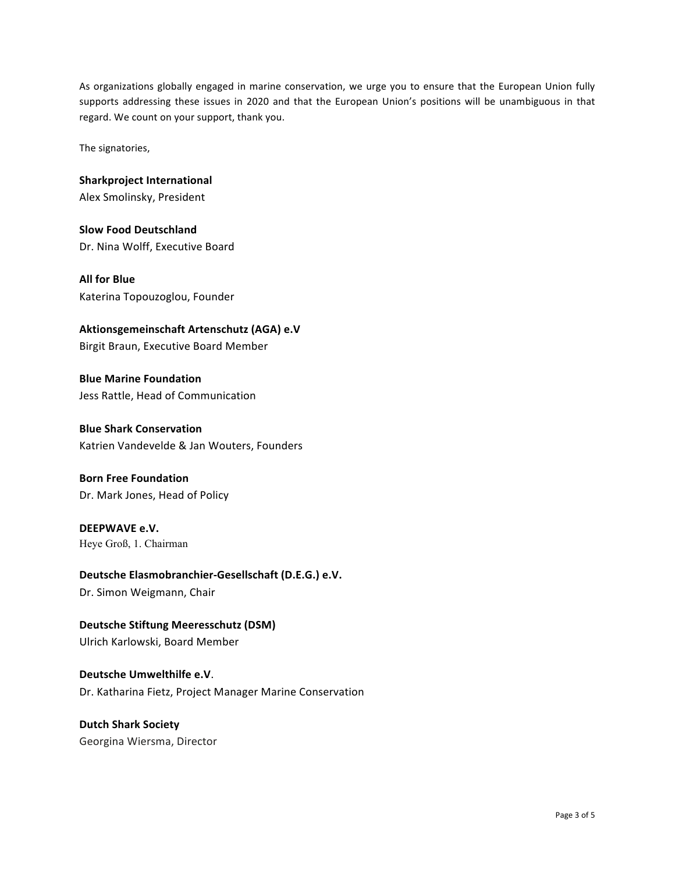As organizations globally engaged in marine conservation, we urge you to ensure that the European Union fully supports addressing these issues in 2020 and that the European Union's positions will be unambiguous in that regard. We count on your support, thank you.

The signatories,

**Sharkproject International** Alex Smolinsky, President

**Slow Food Deutschland**  Dr. Nina Wolff, Executive Board

**All for Blue** Katerina Topouzoglou, Founder

Aktionsgemeinschaft Artenschutz (AGA) e.V

Birgit Braun, Executive Board Member

**Blue Marine Foundation** Jess Rattle, Head of Communication

**Blue Shark Conservation** Katrien Vandevelde & Jan Wouters, Founders

**Born Free Foundation** Dr. Mark Jones, Head of Policy

**DEEPWAVE e.V.** Heye Groß, 1. Chairman

Deutsche Elasmobranchier-Gesellschaft (D.E.G.) e.V. Dr. Simon Weigmann, Chair

**Deutsche Stiftung Meeresschutz (DSM)** Ulrich Karlowski, Board Member

**Deutsche Umwelthilfe e.V**. Dr. Katharina Fietz, Project Manager Marine Conservation

**Dutch Shark Society**  Georgina Wiersma, Director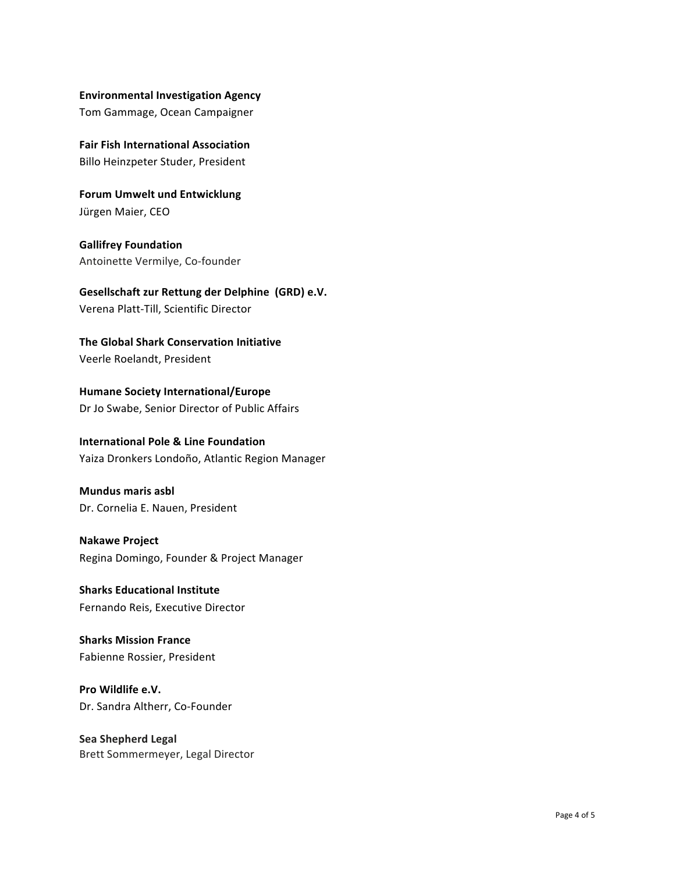#### **Environmental Investigation Agency**

Tom Gammage, Ocean Campaigner

**Fair Fish International Association** Billo Heinzpeter Studer, President

**Forum Umwelt und Entwicklung** Jürgen Maier, CEO

**Gallifrey Foundation**  Antoinette Vermilye, Co-founder

**Gesellschaft zur Rettung der Delphine (GRD) e.V.** Verena Platt-Till, Scientific Director 

**The Global Shark Conservation Initiative** Veerle Roelandt, President

**Humane Society International/Europe** Dr Jo Swabe, Senior Director of Public Affairs

## **International Pole & Line Foundation** Yaiza Dronkers Londoño, Atlantic Region Manager

# **Mundus maris asbl** Dr. Cornelia E. Nauen, President

**Nakawe Project** Regina Domingo, Founder & Project Manager

**Sharks Educational Institute** Fernando Reis, Executive Director

**Sharks Mission France** Fabienne Rossier, President

**Pro Wildlife e.V.** Dr. Sandra Altherr, Co-Founder

**Sea Shepherd Legal** Brett Sommermeyer, Legal Director